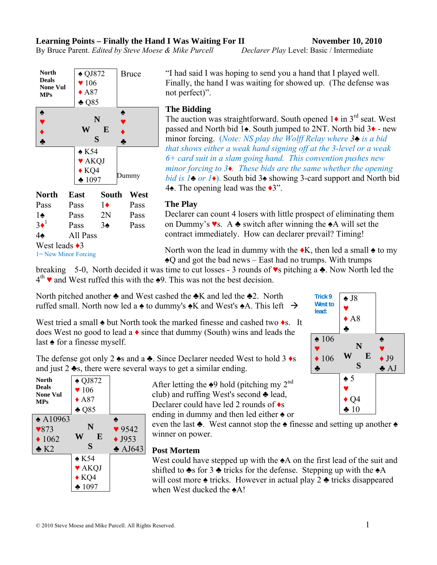$\triangle$  KQ4 ♣ 1097

### **Learning Points – Finally the Hand I Was Waiting For II November 10, 2010**

By Bruce Parent. *Edited by Steve Moese & Mike Purcell Declarer Play* Level: Basic / Intermediate

♠

 $\triangle$  QJ872 | Bruce

♥ 106  $\triangle$  A87 ♣ Q85 "I had said I was hoping to send you a hand that I played well. Finally, the hand I was waiting for showed up. (The defense was not perfect)".

**The Bidding** 

The auction was straightforward. South opened  $1\bullet$  in 3<sup>rd</sup> seat. West passed and North bid 1♠. South jumped to 2NT. North bid 3♦ - new minor forcing. (*Note: NS play the Wolff Relay where 3♣ is a bid that shows either a weak hand signing off at the 3-level or a weak 6+ card suit in a slam going hand. This convention pushes new minor forcing to 3♦. These bids are the same whether the opening bid is 1♣ or 1♦*). South bid 3♠ showing 3-card support and North bid 4♠. The opening lead was the ♦3".

### **The Play**

Declarer can count 4 losers with little prospect of eliminating them on Dummy's ♥s. A ♣ switch after winning the ♠A will set the contract immediately. How can declarer prevail? Timing!

North won the lead in dummy with the  $\triangle K$ , then led a small  $\triangle$  to my ♠Q and got the bad news – East had no trumps. With trumps

breaking 5-0, North decided it was time to cut losses - 3 rounds of  $\bullet$ s pitching a  $\bullet$ . Now North led the  $4<sup>th</sup>$   $\bullet$  and West ruffed this with the  $\bullet$ 9. This was not the best decision.

North pitched another  $\triangle$  and West cashed the  $\triangle K$  and led the  $\triangle 2$ . North ruffed small. North now led a  $\triangle$  to dummy's  $\triangle K$  and West's  $\triangle A$ . This left  $\rightarrow$ 

West tried a small  $\triangle$  but North took the marked finesse and cashed two  $\triangle$ s. It does West no good to lead a  $\bullet$  since that dummy (South) wins and leads the last ♠ for a finesse myself.

The defense got only 2  $\triangle$ s and a  $\triangle$ . Since Declarer needed West to hold 3  $\triangle$ s and just 2 ♣s, there were several ways to get a similar ending.

> After letting the  $\triangle 9$  hold (pitching my 2<sup>nd</sup>) club) and ruffing West's second ♣ lead, Declarer could have led 2 rounds of ♦s ending in dummy and then led either ♠ or

even the last ♣. West cannot stop the ♠ finesse and setting up another ♠ winner on power.

### **Post Mortem**

West could have stepped up with the  $\triangle$ A on the first lead of the suit and shifted to  $\triangle$ s for 3  $\triangle$  tricks for the defense. Stepping up with the  $\triangle$ A will cost more  $\triangle$  tricks. However in actual play 2  $\triangle$  tricks disappeared when West ducked the ♠A!

**North Deals None Vul MPs** ♠ QJ872  $\blacktriangledown$  106  $\triangle$  A87 ♣ Q85 ♠ A10963 **N W E S**  ♠  $\sqrt{873}$  N  $\sqrt{9542}$  $\bigstar 1062$  **W E**  $\bigstar 1953$  $\bullet$  K2  $\bullet$  AJ643





**North Deals None Vul MPs**

♠

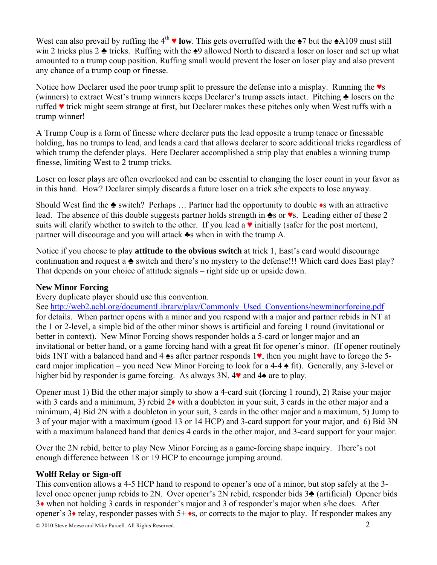West can also prevail by ruffing the  $4<sup>th</sup>$  **v** low. This gets overruffed with the  $\triangle 7$  but the  $\triangle 4109$  must still win 2 tricks plus 2 ♣ tricks. Ruffing with the ♠9 allowed North to discard a loser on loser and set up what amounted to a trump coup position. Ruffing small would prevent the loser on loser play and also prevent any chance of a trump coup or finesse.

Notice how Declarer used the poor trump split to pressure the defense into a misplay. Running the ♥s (winners) to extract West's trump winners keeps Declarer's trump assets intact. Pitching ♣ losers on the ruffed ♥ trick might seem strange at first, but Declarer makes these pitches only when West ruffs with a trump winner!

A Trump Coup is a form of finesse where declarer puts the lead opposite a trump tenace or finessable holding, has no trumps to lead, and leads a card that allows declarer to score additional tricks regardless of which trump the defender plays. Here Declarer accomplished a strip play that enables a winning trump finesse, limiting West to 2 trump tricks.

Loser on loser plays are often overlooked and can be essential to changing the loser count in your favor as in this hand. How? Declarer simply discards a future loser on a trick s/he expects to lose anyway.

Should West find the ♣ switch? Perhaps … Partner had the opportunity to double ♦s with an attractive lead. The absence of this double suggests partner holds strength in ♣s or ♥s. Leading either of these 2 suits will clarify whether to switch to the other. If you lead a  $\vee$  initially (safer for the post mortem), partner will discourage and you will attack ♣s when in with the trump A.

Notice if you choose to play **attitude to the obvious switch** at trick 1, East's card would discourage continuation and request a ♣ switch and there's no mystery to the defense!!! Which card does East play? That depends on your choice of attitude signals – right side up or upside down.

## **New Minor Forcing**

Every duplicate player should use this convention.

See http://web2.acbl.org/documentLibrary/play/Commonly\_Used\_Conventions/newminorforcing.pdf for details. When partner opens with a minor and you respond with a major and partner rebids in NT at the 1 or 2-level, a simple bid of the other minor shows is artificial and forcing 1 round (invitational or better in context). New Minor Forcing shows responder holds a 5-card or longer major and an invitational or better hand, or a game forcing hand with a great fit for opener's minor. (If opener routinely bids 1NT with a balanced hand and 4 ♠s after partner responds 1♥, then you might have to forego the 5 card major implication – you need New Minor Forcing to look for a 4-4  $\triangle$  fit). Generally, any 3-level or higher bid by responder is game forcing. As always 3N, 4♥ and 4♠ are to play.

Opener must 1) Bid the other major simply to show a 4-card suit (forcing 1 round), 2) Raise your major with 3 cards and a minimum, 3) rebid 2♦ with a doubleton in your suit, 3 cards in the other major and a minimum, 4) Bid 2N with a doubleton in your suit, 3 cards in the other major and a maximum, 5) Jump to 3 of your major with a maximum (good 13 or 14 HCP) and 3-card support for your major, and 6) Bid 3N with a maximum balanced hand that denies 4 cards in the other major, and 3-card support for your major.

Over the 2N rebid, better to play New Minor Forcing as a game-forcing shape inquiry. There's not enough difference between 18 or 19 HCP to encourage jumping around.

# **Wolff Relay or Sign-off**

This convention allows a 4-5 HCP hand to respond to opener's one of a minor, but stop safely at the 3 level once opener jump rebids to 2N. Over opener's 2N rebid, responder bids 3♣ (artificial) Opener bids 3♦ when not holding 3 cards in responder's major and 3 of responder's major when s/he does. After opener's  $3\bullet$  relay, responder passes with  $5+\bullet s$ , or corrects to the major to play. If responder makes any

© 2010 Steve Moese and Mike Purcell. All Rights Reserved. 2